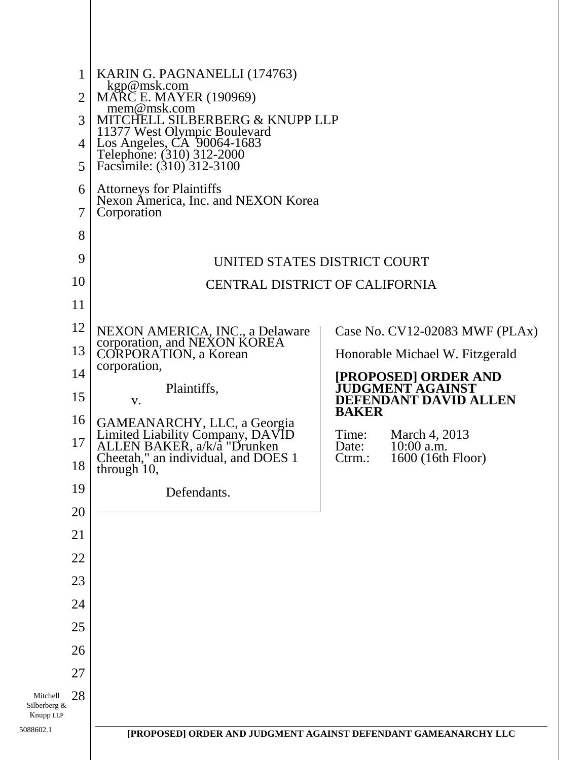|                                       | $\mathbf{1}$<br>$\overline{2}$<br>3<br>$\overline{4}$<br>5 | KARIN G. PAGNANELLI (174763)<br>kgp@msk.com<br>MARC E. MAYER (190969)<br>mem@msk.com<br>MITCHELL SILBERBERG & KNUPP LLP<br>11377 West Olympic Boulevard<br>Los Angeles, CA 90064-1683<br>Telephone: (310) 312-2000<br>Facsimile: (310) 312-3100 |                |                                          |  |
|---------------------------------------|------------------------------------------------------------|-------------------------------------------------------------------------------------------------------------------------------------------------------------------------------------------------------------------------------------------------|----------------|------------------------------------------|--|
|                                       | 6                                                          | <b>Attorneys for Plaintiffs</b>                                                                                                                                                                                                                 |                |                                          |  |
|                                       | 7                                                          | Nexon America, Inc. and NEXON Korea<br>Corporation                                                                                                                                                                                              |                |                                          |  |
|                                       | 8                                                          |                                                                                                                                                                                                                                                 |                |                                          |  |
|                                       | 9                                                          | UNITED STATES DISTRICT COURT<br><b>CENTRAL DISTRICT OF CALIFORNIA</b>                                                                                                                                                                           |                |                                          |  |
|                                       | 10                                                         |                                                                                                                                                                                                                                                 |                |                                          |  |
|                                       | 11                                                         |                                                                                                                                                                                                                                                 |                |                                          |  |
|                                       | 12                                                         | NEXON AMERICA, INC., a Delaware                                                                                                                                                                                                                 |                | Case No. CV12-02083 MWF (PLAx)           |  |
|                                       | 13                                                         | corporation, and NEXON KOREA<br><b>CORPORATION</b> , a Korean                                                                                                                                                                                   |                | Honorable Michael W. Fitzgerald          |  |
|                                       | 14                                                         | corporation,                                                                                                                                                                                                                                    |                | [PROPOSED] ORDER AND<br>JUDGMENT AGAINST |  |
|                                       | 15                                                         | Plaintiffs,<br>V.                                                                                                                                                                                                                               |                | DEFENDANT DAVID ALLEN                    |  |
|                                       | 16                                                         |                                                                                                                                                                                                                                                 | <b>BAKER</b>   |                                          |  |
|                                       | 17                                                         | GAMEANARCHY, LLC, a Georgia<br>Limited Liability Company, DAVID<br>ALLEN BAKER, a/k/a "Drunken                                                                                                                                                  | Time:<br>Date: | March 4, 2013<br>$10:00$ a.m.            |  |
|                                       | 18                                                         | Cheetah," an individual, and DOES 1<br>through 10,                                                                                                                                                                                              | $C$ trm.:      | 1600 (16th Floor)                        |  |
|                                       | 19                                                         | Defendants.                                                                                                                                                                                                                                     |                |                                          |  |
|                                       | 20                                                         |                                                                                                                                                                                                                                                 |                |                                          |  |
|                                       | 21                                                         |                                                                                                                                                                                                                                                 |                |                                          |  |
|                                       | 22                                                         |                                                                                                                                                                                                                                                 |                |                                          |  |
|                                       | 23                                                         |                                                                                                                                                                                                                                                 |                |                                          |  |
|                                       | 24                                                         |                                                                                                                                                                                                                                                 |                |                                          |  |
|                                       | 25                                                         |                                                                                                                                                                                                                                                 |                |                                          |  |
|                                       | 26                                                         |                                                                                                                                                                                                                                                 |                |                                          |  |
|                                       | 27                                                         |                                                                                                                                                                                                                                                 |                |                                          |  |
| Mitchell<br>Silberberg &<br>Knupp LLP | 28                                                         |                                                                                                                                                                                                                                                 |                |                                          |  |
| 5088602.1                             |                                                            | [PROPOSED] ORDER AND JUDGMENT AGAINST DEFENDANT GAMEANARCHY LLC                                                                                                                                                                                 |                |                                          |  |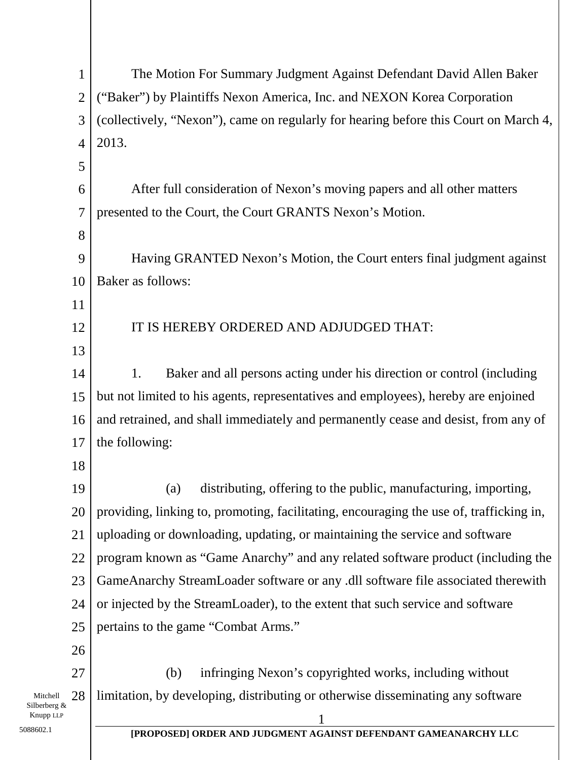| 1                                           | The Motion For Summary Judgment Against Defendant David Allen Baker                     |  |  |
|---------------------------------------------|-----------------------------------------------------------------------------------------|--|--|
| $\overline{2}$                              | ("Baker") by Plaintiffs Nexon America, Inc. and NEXON Korea Corporation                 |  |  |
| 3                                           | (collectively, "Nexon"), came on regularly for hearing before this Court on March 4,    |  |  |
| $\overline{4}$                              | 2013.                                                                                   |  |  |
| 5                                           |                                                                                         |  |  |
| 6                                           | After full consideration of Nexon's moving papers and all other matters                 |  |  |
| $\overline{7}$                              | presented to the Court, the Court GRANTS Nexon's Motion.                                |  |  |
| 8                                           |                                                                                         |  |  |
| 9                                           | Having GRANTED Nexon's Motion, the Court enters final judgment against                  |  |  |
| 10                                          | Baker as follows:                                                                       |  |  |
| 11                                          |                                                                                         |  |  |
| 12                                          | IT IS HEREBY ORDERED AND ADJUDGED THAT:                                                 |  |  |
| 13                                          |                                                                                         |  |  |
| 14                                          | Baker and all persons acting under his direction or control (including<br>1.            |  |  |
| 15                                          | but not limited to his agents, representatives and employees), hereby are enjoined      |  |  |
| 16                                          | and retrained, and shall immediately and permanently cease and desist, from any of      |  |  |
| 17                                          | the following:                                                                          |  |  |
| 18                                          |                                                                                         |  |  |
| 19                                          | distributing, offering to the public, manufacturing, importing,<br>(a)                  |  |  |
| 20                                          | providing, linking to, promoting, facilitating, encouraging the use of, trafficking in, |  |  |
| 21                                          | uploading or downloading, updating, or maintaining the service and software             |  |  |
| 22                                          | program known as "Game Anarchy" and any related software product (including the         |  |  |
| 23                                          | GameAnarchy StreamLoader software or any .dll software file associated therewith        |  |  |
| 24                                          | or injected by the StreamLoader), to the extent that such service and software          |  |  |
| 25                                          | pertains to the game "Combat Arms."                                                     |  |  |
| 26                                          |                                                                                         |  |  |
| 27                                          | infringing Nexon's copyrighted works, including without<br>(b)                          |  |  |
| 28<br>Mitchell<br>Silberberg &<br>Knupp LLP | limitation, by developing, distributing or otherwise disseminating any software         |  |  |
| 088602.1                                    | IDDADACEDI ADDED AND HIDAMENT A A INCT                                                  |  |  |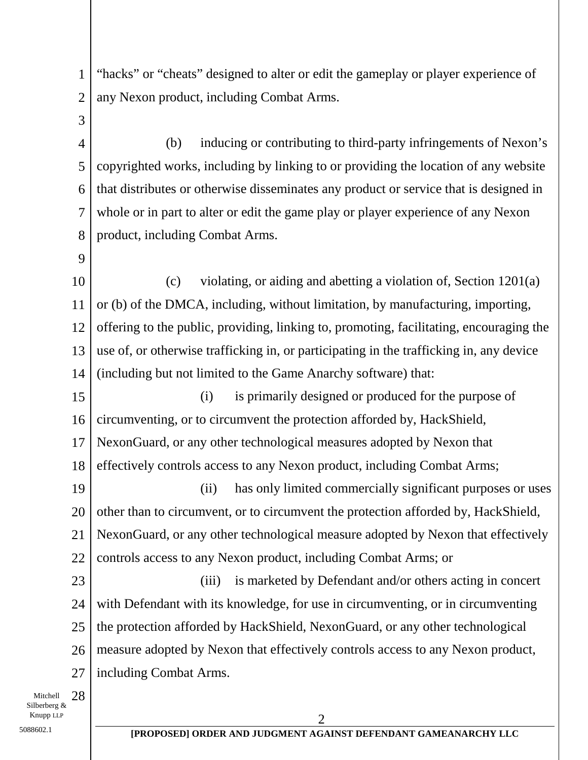1 2 "hacks" or "cheats" designed to alter or edit the gameplay or player experience of any Nexon product, including Combat Arms.

- 4 5 6 7 8 (b) inducing or contributing to third-party infringements of Nexon's copyrighted works, including by linking to or providing the location of any website that distributes or otherwise disseminates any product or service that is designed in whole or in part to alter or edit the game play or player experience of any Nexon product, including Combat Arms.
- 9

3

10 11 12 13 14 (c) violating, or aiding and abetting a violation of, Section 1201(a) or (b) of the DMCA, including, without limitation, by manufacturing, importing, offering to the public, providing, linking to, promoting, facilitating, encouraging the use of, or otherwise trafficking in, or participating in the trafficking in, any device (including but not limited to the Game Anarchy software) that:

15 16 17 18 (i) is primarily designed or produced for the purpose of circumventing, or to circumvent the protection afforded by, HackShield, NexonGuard, or any other technological measures adopted by Nexon that effectively controls access to any Nexon product, including Combat Arms;

19 20 21 22 (ii) has only limited commercially significant purposes or uses other than to circumvent, or to circumvent the protection afforded by, HackShield, NexonGuard, or any other technological measure adopted by Nexon that effectively controls access to any Nexon product, including Combat Arms; or

23 24 25 26 27 (iii) is marketed by Defendant and/or others acting in concert with Defendant with its knowledge, for use in circumventing, or in circumventing the protection afforded by HackShield, NexonGuard, or any other technological measure adopted by Nexon that effectively controls access to any Nexon product, including Combat Arms.

Mitchell 28 Silberberg &  $\sum$